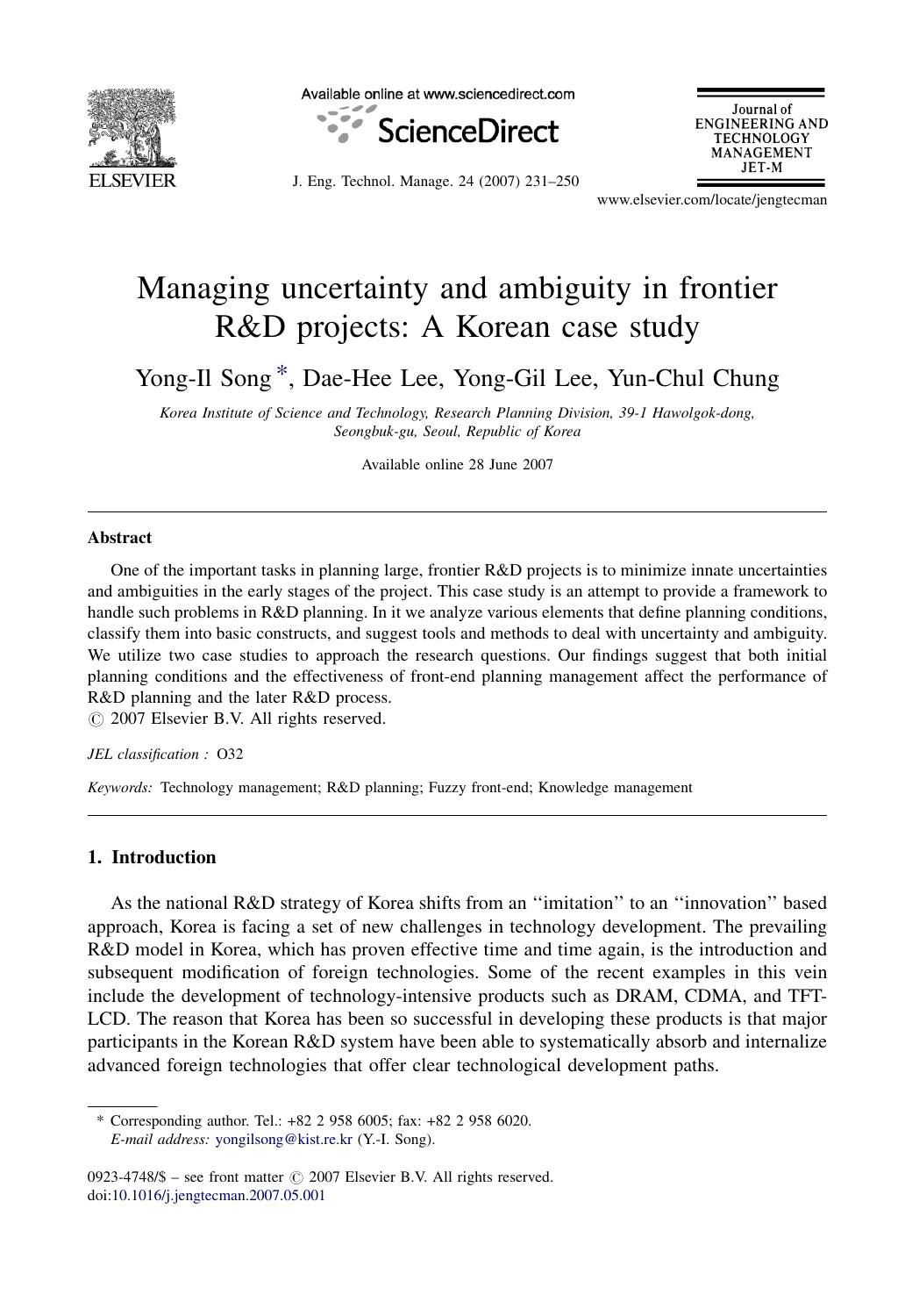

Available online at www.sciencedirect.com



Journal of **ENGINEERING AND TECHNOLOGY** MANAGEMENT JET-M

J. Eng. Technol. Manage. 24 (2007) 231–250

www.elsevier.com/locate/jengtecman

# Managing uncertainty and ambiguity in frontier R&D projects: A Korean case study

Yong-Il Song \*, Dae-Hee Lee, Yong-Gil Lee, Yun-Chul Chung

Korea Institute of Science and Technology, Research Planning Division, 39-1 Hawolgok-dong, Seongbuk-gu, Seoul, Republic of Korea

Available online 28 June 2007

### Abstract

One of the important tasks in planning large, frontier R&D projects is to minimize innate uncertainties and ambiguities in the early stages of the project. This case study is an attempt to provide a framework to handle such problems in R&D planning. In it we analyze various elements that define planning conditions, classify them into basic constructs, and suggest tools and methods to deal with uncertainty and ambiguity. We utilize two case studies to approach the research questions. Our findings suggest that both initial planning conditions and the effectiveness of front-end planning management affect the performance of R&D planning and the later R&D process.

 $\odot$  2007 Elsevier B.V. All rights reserved.

#### JEL classification : O32

Keywords: Technology management; R&D planning; Fuzzy front-end; Knowledge management

### 1. Introduction

As the national R&D strategy of Korea shifts from an ''imitation'' to an ''innovation'' based approach, Korea is facing a set of new challenges in technology development. The prevailing R&D model in Korea, which has proven effective time and time again, is the introduction and subsequent modification of foreign technologies. Some of the recent examples in this vein include the development of technology-intensive products such as DRAM, CDMA, and TFT-LCD. The reason that Korea has been so successful in developing these products is that major participants in the Korean R&D system have been able to systematically absorb and internalize advanced foreign technologies that offer clear technological development paths.

<sup>\*</sup> Corresponding author. Tel.: +82 2 958 6005; fax: +82 2 958 6020. E-mail address: [yongilsong@kist.re.kr](mailto:yongilsong@kist.re.kr) (Y.-I. Song).

<sup>0923-4748/\$ –</sup> see front matter  $\odot$  2007 Elsevier B.V. All rights reserved. doi:[10.1016/j.jengtecman.2007.05.001](http://dx.doi.org/10.1016/j.jengtecman.2007.05.001)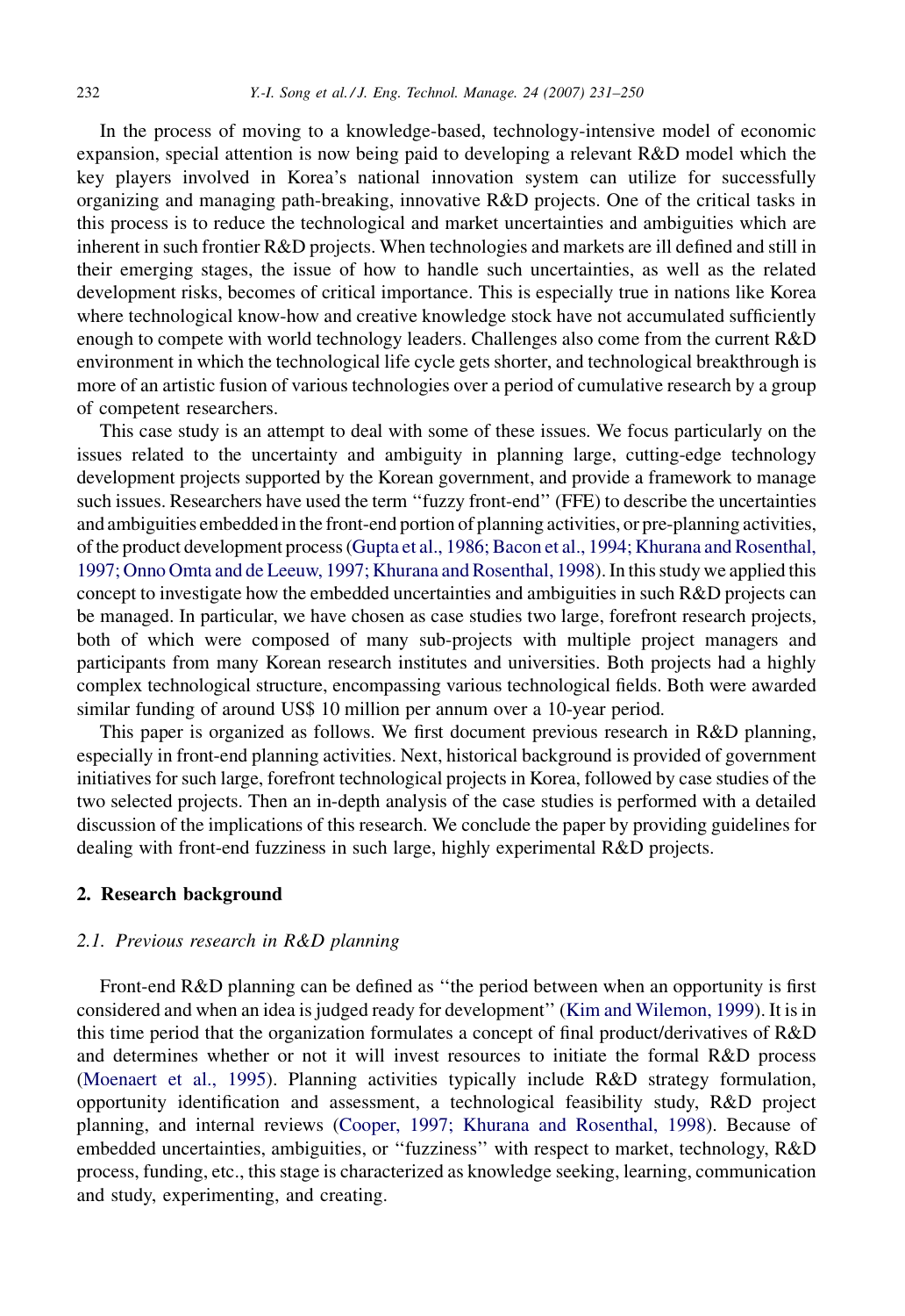In the process of moving to a knowledge-based, technology-intensive model of economic expansion, special attention is now being paid to developing a relevant R&D model which the key players involved in Korea's national innovation system can utilize for successfully organizing and managing path-breaking, innovative R&D projects. One of the critical tasks in this process is to reduce the technological and market uncertainties and ambiguities which are inherent in such frontier R&D projects. When technologies and markets are ill defined and still in their emerging stages, the issue of how to handle such uncertainties, as well as the related development risks, becomes of critical importance. This is especially true in nations like Korea where technological know-how and creative knowledge stock have not accumulated sufficiently enough to compete with world technology leaders. Challenges also come from the current R&D environment in which the technological life cycle gets shorter, and technological breakthrough is more of an artistic fusion of various technologies over a period of cumulative research by a group of competent researchers.

This case study is an attempt to deal with some of these issues. We focus particularly on the issues related to the uncertainty and ambiguity in planning large, cutting-edge technology development projects supported by the Korean government, and provide a framework to manage such issues. Researchers have used the term ''fuzzy front-end'' (FFE) to describe the uncertainties and ambiguities embedded in the front-end portion of planning activities, or pre-planning activities, of the product development process [\(Gupta et al., 1986; Bacon et al., 1994; Khurana and Rosenthal,](#page--1-0) [1997; Onno Omta and de Leeuw, 1997; Khurana and Rosenthal, 1998\)](#page--1-0). In this study we applied this concept to investigate how the embedded uncertainties and ambiguities in such R&D projects can be managed. In particular, we have chosen as case studies two large, forefront research projects, both of which were composed of many sub-projects with multiple project managers and participants from many Korean research institutes and universities. Both projects had a highly complex technological structure, encompassing various technological fields. Both were awarded similar funding of around US\$ 10 million per annum over a 10-year period.

This paper is organized as follows. We first document previous research in R&D planning, especially in front-end planning activities. Next, historical background is provided of government initiatives for such large, forefront technological projects in Korea, followed by case studies of the two selected projects. Then an in-depth analysis of the case studies is performed with a detailed discussion of the implications of this research. We conclude the paper by providing guidelines for dealing with front-end fuzziness in such large, highly experimental R&D projects.

### 2. Research background

## 2.1. Previous research in R&D planning

Front-end R&D planning can be defined as ''the period between when an opportunity is first considered and when an idea is judged ready for development'' ([Kim and Wilemon, 1999](#page--1-0)). It is in this time period that the organization formulates a concept of final product/derivatives of R&D and determines whether or not it will invest resources to initiate the formal R&D process [\(Moenaert et al., 1995\)](#page--1-0). Planning activities typically include R&D strategy formulation, opportunity identification and assessment, a technological feasibility study, R&D project planning, and internal reviews [\(Cooper, 1997; Khurana and Rosenthal, 1998](#page--1-0)). Because of embedded uncertainties, ambiguities, or ''fuzziness'' with respect to market, technology, R&D process, funding, etc., this stage is characterized as knowledge seeking, learning, communication and study, experimenting, and creating.